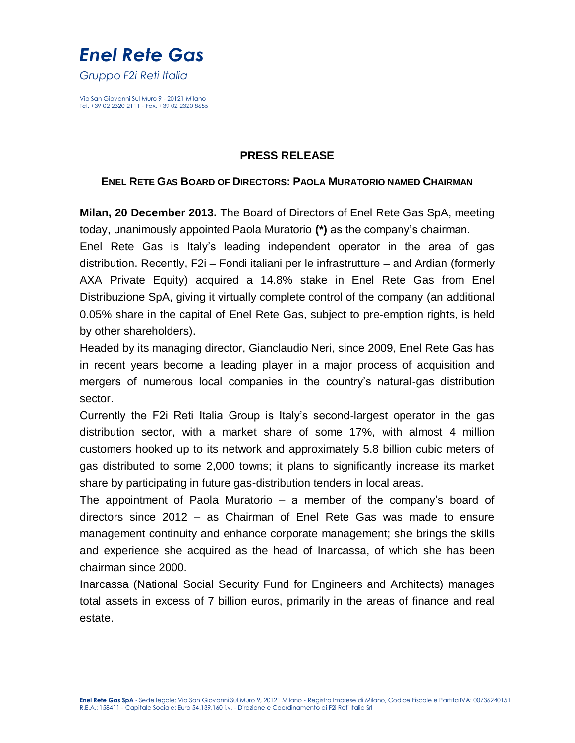# *Enel Rete Gas*

*Gruppo F2i Reti Italia* 

Via San Giovanni Sul Muro 9 - 20121 Milano Tel. +39 02 2320 2111 - Fax. +39 02 2320 8655

### **PRESS RELEASE**

### **ENEL RETE GAS BOARD OF DIRECTORS: PAOLA MURATORIO NAMED CHAIRMAN**

**Milan, 20 December 2013.** The Board of Directors of Enel Rete Gas SpA, meeting today, unanimously appointed Paola Muratorio **(\*)** as the company's chairman.

Enel Rete Gas is Italy's leading independent operator in the area of gas distribution. Recently, F2i – Fondi italiani per le infrastrutture – and Ardian (formerly AXA Private Equity) acquired a 14.8% stake in Enel Rete Gas from Enel Distribuzione SpA, giving it virtually complete control of the company (an additional 0.05% share in the capital of Enel Rete Gas, subject to pre-emption rights, is held by other shareholders).

Headed by its managing director, Gianclaudio Neri, since 2009, Enel Rete Gas has in recent years become a leading player in a major process of acquisition and mergers of numerous local companies in the country's natural-gas distribution sector.

Currently the F2i Reti Italia Group is Italy's second-largest operator in the gas distribution sector, with a market share of some 17%, with almost 4 million customers hooked up to its network and approximately 5.8 billion cubic meters of gas distributed to some 2,000 towns; it plans to significantly increase its market share by participating in future gas-distribution tenders in local areas.

The appointment of Paola Muratorio – a member of the company's board of directors since 2012 – as Chairman of Enel Rete Gas was made to ensure management continuity and enhance corporate management; she brings the skills and experience she acquired as the head of Inarcassa, of which she has been chairman since 2000.

Inarcassa (National Social Security Fund for Engineers and Architects) manages total assets in excess of 7 billion euros, primarily in the areas of finance and real estate.